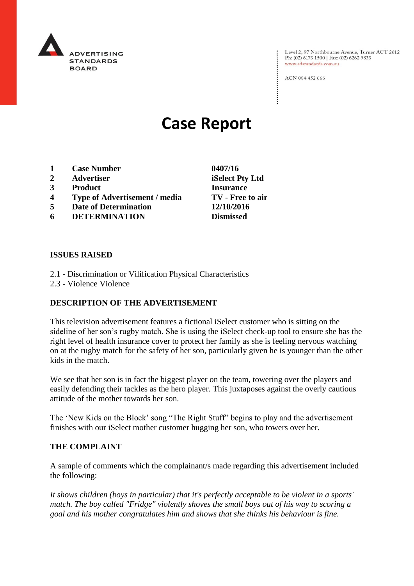

Level 2, 97 Northbourne Avenue, Turner ACT 2612<br>Ph: (02) 6173 1500 | Fax: (02) 6262 9833 www.adstandards.com.au

ACN 084 452 666

# **Case Report**

- **1 Case Number 0407/16**
- **2 Advertiser iSelect Pty Ltd**
- **3 Product Insurance**
- **4 Type of Advertisement / media TV - Free to air**
- **5 Date of Determination 12/10/2016**
- **6 DETERMINATION Dismissed**

**ISSUES RAISED**

- 2.1 Discrimination or Vilification Physical Characteristics
- 2.3 Violence Violence

## **DESCRIPTION OF THE ADVERTISEMENT**

This television advertisement features a fictional iSelect customer who is sitting on the sideline of her son's rugby match. She is using the iSelect check-up tool to ensure she has the right level of health insurance cover to protect her family as she is feeling nervous watching on at the rugby match for the safety of her son, particularly given he is younger than the other kids in the match.

We see that her son is in fact the biggest player on the team, towering over the players and easily defending their tackles as the hero player. This juxtaposes against the overly cautious attitude of the mother towards her son.

The 'New Kids on the Block' song "The Right Stuff" begins to play and the advertisement finishes with our iSelect mother customer hugging her son, who towers over her.

## **THE COMPLAINT**

A sample of comments which the complainant/s made regarding this advertisement included the following:

*It shows children (boys in particular) that it's perfectly acceptable to be violent in a sports' match. The boy called "Fridge" violently shoves the small boys out of his way to scoring a goal and his mother congratulates him and shows that she thinks his behaviour is fine.*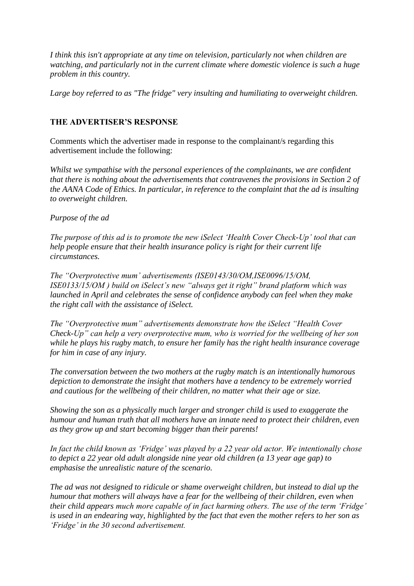*I think this isn't appropriate at any time on television, particularly not when children are watching, and particularly not in the current climate where domestic violence is such a huge problem in this country.*

*Large boy referred to as "The fridge" very insulting and humiliating to overweight children.*

## **THE ADVERTISER'S RESPONSE**

Comments which the advertiser made in response to the complainant/s regarding this advertisement include the following:

*Whilst we sympathise with the personal experiences of the complainants, we are confident that there is nothing about the advertisements that contravenes the provisions in Section 2 of the AANA Code of Ethics. In particular, in reference to the complaint that the ad is insulting to overweight children.*

## *Purpose of the ad*

*The purpose of this ad is to promote the new iSelect 'Health Cover Check-Up' tool that can help people ensure that their health insurance policy is right for their current life circumstances.*

*The "Overprotective mum' advertisements (ISE0143/30/OM,ISE0096/15/OM, ISE0133/15/OM ) build on iSelect's new "always get it right" brand platform which was launched in April and celebrates the sense of confidence anybody can feel when they make the right call with the assistance of iSelect.*

*The "Overprotective mum" advertisements demonstrate how the iSelect "Health Cover Check-Up" can help a very overprotective mum, who is worried for the wellbeing of her son while he plays his rugby match, to ensure her family has the right health insurance coverage for him in case of any injury.*

*The conversation between the two mothers at the rugby match is an intentionally humorous depiction to demonstrate the insight that mothers have a tendency to be extremely worried and cautious for the wellbeing of their children, no matter what their age or size.*

*Showing the son as a physically much larger and stronger child is used to exaggerate the humour and human truth that all mothers have an innate need to protect their children, even as they grow up and start becoming bigger than their parents!*

*In fact the child known as 'Fridge' was played by a 22 year old actor. We intentionally chose to depict a 22 year old adult alongside nine year old children (a 13 year age gap) to emphasise the unrealistic nature of the scenario.*

*The ad was not designed to ridicule or shame overweight children, but instead to dial up the humour that mothers will always have a fear for the wellbeing of their children, even when their child appears much more capable of in fact harming others. The use of the term 'Fridge' is used in an endearing way, highlighted by the fact that even the mother refers to her son as 'Fridge' in the 30 second advertisement.*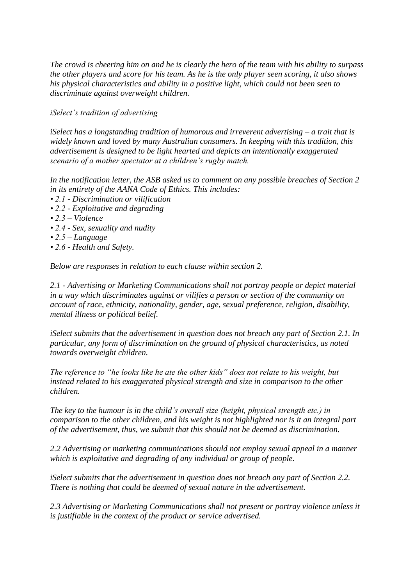*The crowd is cheering him on and he is clearly the hero of the team with his ability to surpass the other players and score for his team. As he is the only player seen scoring, it also shows his physical characteristics and ability in a positive light, which could not been seen to discriminate against overweight children.*

*iSelect's tradition of advertising*

*iSelect has a longstanding tradition of humorous and irreverent advertising – a trait that is widely known and loved by many Australian consumers. In keeping with this tradition, this advertisement is designed to be light hearted and depicts an intentionally exaggerated scenario of a mother spectator at a children's rugby match.*

*In the notification letter, the ASB asked us to comment on any possible breaches of Section 2 in its entirety of the AANA Code of Ethics. This includes:*

- *2.1 - Discrimination or vilification*
- *2.2 - Exploitative and degrading*
- *2.3 – Violence*
- *2.4 - Sex, sexuality and nudity*
- *2.5 – Language*
- *2.6 - Health and Safety.*

*Below are responses in relation to each clause within section 2.*

*2.1 - Advertising or Marketing Communications shall not portray people or depict material in a way which discriminates against or vilifies a person or section of the community on account of race, ethnicity, nationality, gender, age, sexual preference, religion, disability, mental illness or political belief.*

*iSelect submits that the advertisement in question does not breach any part of Section 2.1. In particular, any form of discrimination on the ground of physical characteristics, as noted towards overweight children.*

*The reference to "he looks like he ate the other kids" does not relate to his weight, but instead related to his exaggerated physical strength and size in comparison to the other children.*

*The key to the humour is in the child's overall size (height, physical strength etc.) in comparison to the other children, and his weight is not highlighted nor is it an integral part of the advertisement, thus, we submit that this should not be deemed as discrimination.*

*2.2 Advertising or marketing communications should not employ sexual appeal in a manner which is exploitative and degrading of any individual or group of people.*

*iSelect submits that the advertisement in question does not breach any part of Section 2.2. There is nothing that could be deemed of sexual nature in the advertisement.*

*2.3 Advertising or Marketing Communications shall not present or portray violence unless it is justifiable in the context of the product or service advertised.*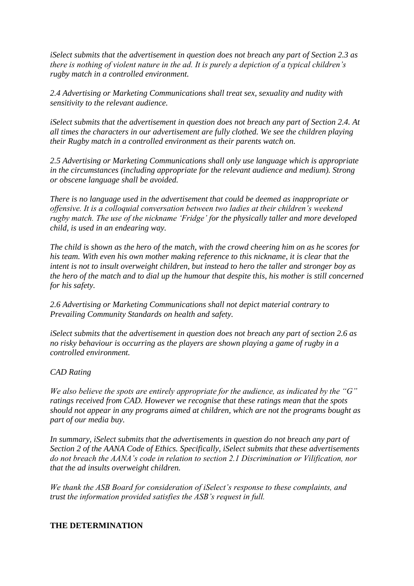*iSelect submits that the advertisement in question does not breach any part of Section 2.3 as there is nothing of violent nature in the ad. It is purely a depiction of a typical children's rugby match in a controlled environment.*

*2.4 Advertising or Marketing Communications shall treat sex, sexuality and nudity with sensitivity to the relevant audience.*

*iSelect submits that the advertisement in question does not breach any part of Section 2.4. At all times the characters in our advertisement are fully clothed. We see the children playing their Rugby match in a controlled environment as their parents watch on.*

*2.5 Advertising or Marketing Communications shall only use language which is appropriate in the circumstances (including appropriate for the relevant audience and medium). Strong or obscene language shall be avoided.*

*There is no language used in the advertisement that could be deemed as inappropriate or offensive. It is a colloquial conversation between two ladies at their children's weekend rugby match. The use of the nickname 'Fridge' for the physically taller and more developed child, is used in an endearing way.*

*The child is shown as the hero of the match, with the crowd cheering him on as he scores for his team. With even his own mother making reference to this nickname, it is clear that the intent is not to insult overweight children, but instead to hero the taller and stronger boy as the hero of the match and to dial up the humour that despite this, his mother is still concerned for his safety.*

*2.6 Advertising or Marketing Communications shall not depict material contrary to Prevailing Community Standards on health and safety.*

*iSelect submits that the advertisement in question does not breach any part of section 2.6 as no risky behaviour is occurring as the players are shown playing a game of rugby in a controlled environment.*

## *CAD Rating*

*We also believe the spots are entirely appropriate for the audience, as indicated by the "G" ratings received from CAD. However we recognise that these ratings mean that the spots should not appear in any programs aimed at children, which are not the programs bought as part of our media buy.*

*In summary, iSelect submits that the advertisements in question do not breach any part of Section 2 of the AANA Code of Ethics. Specifically, iSelect submits that these advertisements do not breach the AANA's code in relation to section 2.1 Discrimination or Vilification, nor that the ad insults overweight children.*

*We thank the ASB Board for consideration of iSelect's response to these complaints, and trust the information provided satisfies the ASB's request in full.*

## **THE DETERMINATION**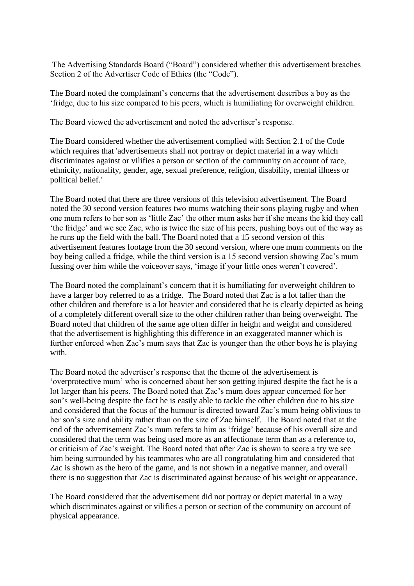The Advertising Standards Board ("Board") considered whether this advertisement breaches Section 2 of the Advertiser Code of Ethics (the "Code").

The Board noted the complainant's concerns that the advertisement describes a boy as the 'fridge, due to his size compared to his peers, which is humiliating for overweight children.

The Board viewed the advertisement and noted the advertiser's response.

The Board considered whether the advertisement complied with Section 2.1 of the Code which requires that 'advertisements shall not portray or depict material in a way which discriminates against or vilifies a person or section of the community on account of race, ethnicity, nationality, gender, age, sexual preference, religion, disability, mental illness or political belief.'

The Board noted that there are three versions of this television advertisement. The Board noted the 30 second version features two mums watching their sons playing rugby and when one mum refers to her son as 'little Zac' the other mum asks her if she means the kid they call 'the fridge' and we see Zac, who is twice the size of his peers, pushing boys out of the way as he runs up the field with the ball. The Board noted that a 15 second version of this advertisement features footage from the 30 second version, where one mum comments on the boy being called a fridge, while the third version is a 15 second version showing Zac's mum fussing over him while the voiceover says, 'image if your little ones weren't covered'.

The Board noted the complainant's concern that it is humiliating for overweight children to have a larger boy referred to as a fridge. The Board noted that Zac is a lot taller than the other children and therefore is a lot heavier and considered that he is clearly depicted as being of a completely different overall size to the other children rather than being overweight. The Board noted that children of the same age often differ in height and weight and considered that the advertisement is highlighting this difference in an exaggerated manner which is further enforced when Zac's mum says that Zac is younger than the other boys he is playing with.

The Board noted the advertiser's response that the theme of the advertisement is 'overprotective mum' who is concerned about her son getting injured despite the fact he is a lot larger than his peers. The Board noted that Zac's mum does appear concerned for her son's well-being despite the fact he is easily able to tackle the other children due to his size and considered that the focus of the humour is directed toward Zac's mum being oblivious to her son's size and ability rather than on the size of Zac himself. The Board noted that at the end of the advertisement Zac's mum refers to him as 'fridge' because of his overall size and considered that the term was being used more as an affectionate term than as a reference to, or criticism of Zac's weight. The Board noted that after Zac is shown to score a try we see him being surrounded by his teammates who are all congratulating him and considered that Zac is shown as the hero of the game, and is not shown in a negative manner, and overall there is no suggestion that Zac is discriminated against because of his weight or appearance.

The Board considered that the advertisement did not portray or depict material in a way which discriminates against or vilifies a person or section of the community on account of physical appearance.